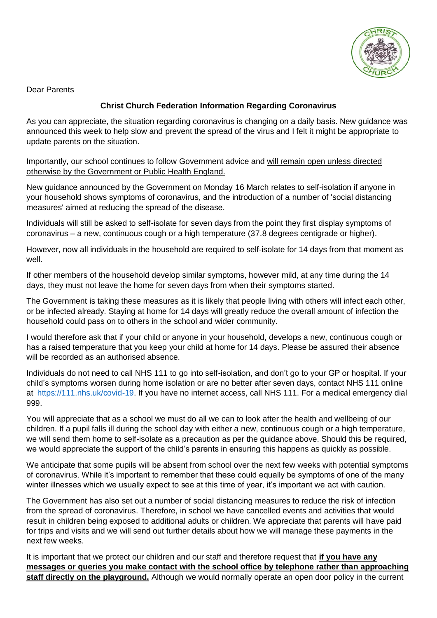

Dear Parents

## **Christ Church Federation Information Regarding Coronavirus**

As you can appreciate, the situation regarding coronavirus is changing on a daily basis. New guidance was announced this week to help slow and prevent the spread of the virus and I felt it might be appropriate to update parents on the situation.

Importantly, our school continues to follow Government advice and will remain open unless directed otherwise by the Government or Public Health England.

New guidance announced by the Government on Monday 16 March relates to self-isolation if anyone in your household shows symptoms of coronavirus, and the introduction of a number of 'social distancing measures' aimed at reducing the spread of the disease.

Individuals will still be asked to self-isolate for seven days from the point they first display symptoms of coronavirus – a new, continuous cough or a high temperature (37.8 degrees centigrade or higher).

However, now all individuals in the household are required to self-isolate for 14 days from that moment as well.

If other members of the household develop similar symptoms, however mild, at any time during the 14 days, they must not leave the home for seven days from when their symptoms started.

The Government is taking these measures as it is likely that people living with others will infect each other, or be infected already. Staying at home for 14 days will greatly reduce the overall amount of infection the household could pass on to others in the school and wider community.

I would therefore ask that if your child or anyone in your household, develops a new, continuous cough or has a raised temperature that you keep your child at home for 14 days. Please be assured their absence will be recorded as an authorised absence.

Individuals do not need to call NHS 111 to go into self-isolation, and don't go to your GP or hospital. If your child's symptoms worsen during home isolation or are no better after seven days, contact NHS 111 online at [https://111.nhs.uk/covid-19.](https://111.nhs.uk/covid-19) If you have no internet access, call NHS 111. For a medical emergency dial 999.

You will appreciate that as a school we must do all we can to look after the health and wellbeing of our children. If a pupil falls ill during the school day with either a new, continuous cough or a high temperature, we will send them home to self-isolate as a precaution as per the guidance above. Should this be required, we would appreciate the support of the child's parents in ensuring this happens as quickly as possible.

We anticipate that some pupils will be absent from school over the next few weeks with potential symptoms of coronavirus. While it's important to remember that these could equally be symptoms of one of the many winter illnesses which we usually expect to see at this time of year, it's important we act with caution.

The Government has also set out a number of social distancing measures to reduce the risk of infection from the spread of coronavirus. Therefore, in school we have cancelled events and activities that would result in children being exposed to additional adults or children. We appreciate that parents will have paid for trips and visits and we will send out further details about how we will manage these payments in the next few weeks.

It is important that we protect our children and our staff and therefore request that **if you have any messages or queries you make contact with the school office by telephone rather than approaching staff directly on the playground.** Although we would normally operate an open door policy in the current